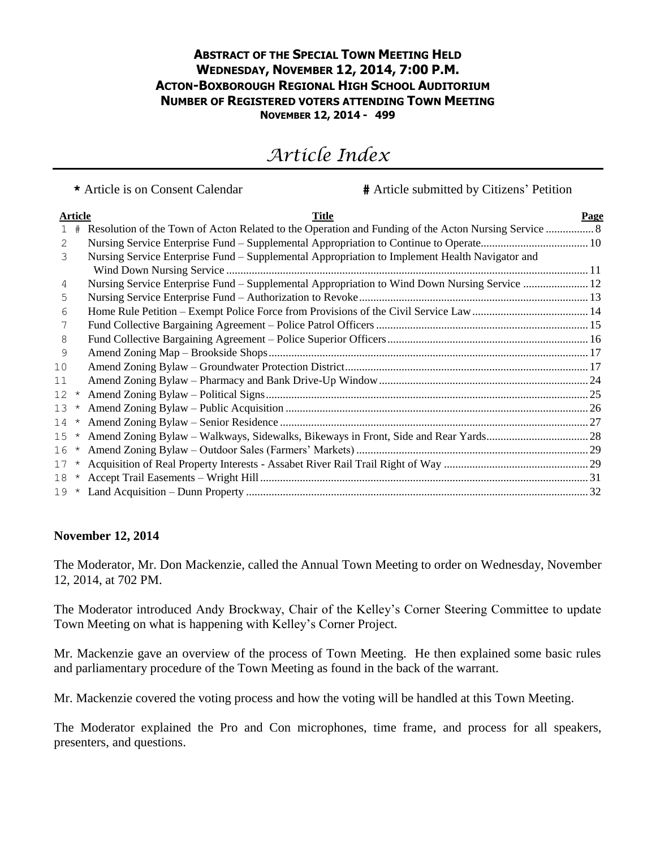## **ABSTRACT OF THE SPECIAL TOWN MEETING HELD WEDNESDAY, NOVEMBER 12, 2014, 7:00 P.M. ACTON-BOXBOROUGH REGIONAL HIGH SCHOOL AUDITORIUM NUMBER OF REGISTERED VOTERS ATTENDING TOWN MEETING NOVEMBER 12, 2014 - 499**

# *Article Index*

**\*** Article is on Consent Calendar **#** Article submitted by Citizens' Petition

| <b>Article</b> | <b>Title</b>                                                                                   | Page |
|----------------|------------------------------------------------------------------------------------------------|------|
|                |                                                                                                |      |
| 2              |                                                                                                |      |
| 3              | Nursing Service Enterprise Fund – Supplemental Appropriation to Implement Health Navigator and |      |
|                |                                                                                                |      |
| 4              | Nursing Service Enterprise Fund – Supplemental Appropriation to Wind Down Nursing Service  12  |      |
| 5              |                                                                                                |      |
| 6              |                                                                                                |      |
|                |                                                                                                |      |
| 8              |                                                                                                |      |
| 9              |                                                                                                |      |
| 10             |                                                                                                |      |
| 11             |                                                                                                |      |
| 12<br>$^\star$ |                                                                                                |      |
| 13<br>$^\star$ |                                                                                                |      |
| 14<br>$\star$  |                                                                                                |      |
| $15 *$         |                                                                                                |      |
| 16 *           |                                                                                                |      |
| $17 *$         |                                                                                                |      |
|                |                                                                                                |      |
|                |                                                                                                |      |

## **November 12, 2014**

The Moderator, Mr. Don Mackenzie, called the Annual Town Meeting to order on Wednesday, November 12, 2014, at 702 PM.

The Moderator introduced Andy Brockway, Chair of the Kelley's Corner Steering Committee to update Town Meeting on what is happening with Kelley's Corner Project.

Mr. Mackenzie gave an overview of the process of Town Meeting. He then explained some basic rules and parliamentary procedure of the Town Meeting as found in the back of the warrant.

Mr. Mackenzie covered the voting process and how the voting will be handled at this Town Meeting.

The Moderator explained the Pro and Con microphones, time frame, and process for all speakers, presenters, and questions.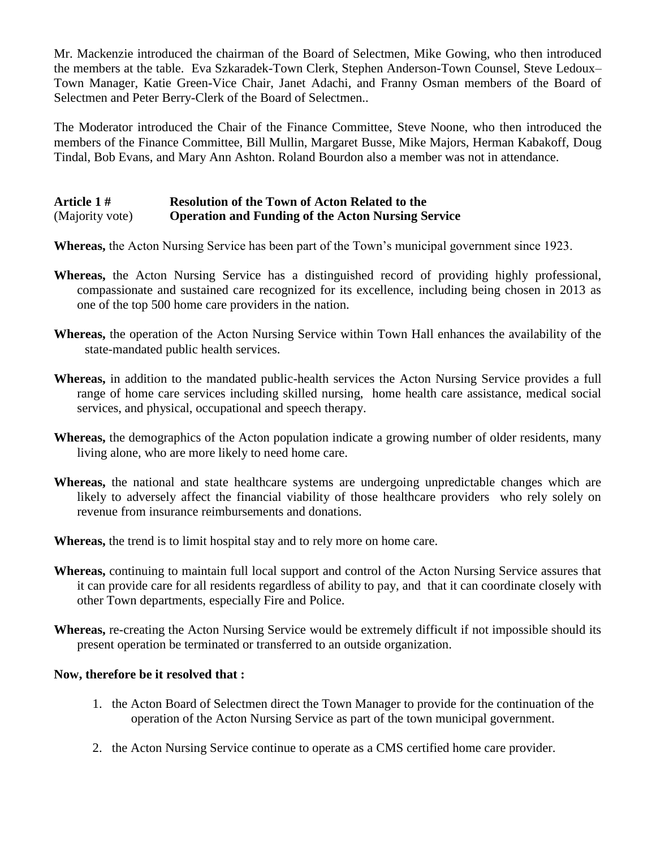Mr. Mackenzie introduced the chairman of the Board of Selectmen, Mike Gowing, who then introduced the members at the table. Eva Szkaradek-Town Clerk, Stephen Anderson-Town Counsel, Steve Ledoux– Town Manager, Katie Green-Vice Chair, Janet Adachi, and Franny Osman members of the Board of Selectmen and Peter Berry-Clerk of the Board of Selectmen..

The Moderator introduced the Chair of the Finance Committee, Steve Noone, who then introduced the members of the Finance Committee, Bill Mullin, Margaret Busse, Mike Majors, Herman Kabakoff, Doug Tindal, Bob Evans, and Mary Ann Ashton. Roland Bourdon also a member was not in attendance.

### **Article 1 # Resolution of the Town of Acton Related to the** (Majority vote) **Operation and Funding of the Acton Nursing Service**

**Whereas,** the Acton Nursing Service has been part of the Town's municipal government since 1923.

- **Whereas,** the Acton Nursing Service has a distinguished record of providing highly professional, compassionate and sustained care recognized for its excellence, including being chosen in 2013 as one of the top 500 home care providers in the nation.
- **Whereas,** the operation of the Acton Nursing Service within Town Hall enhances the availability of the state-mandated public health services.
- **Whereas,** in addition to the mandated public-health services the Acton Nursing Service provides a full range of home care services including skilled nursing, home health care assistance, medical social services, and physical, occupational and speech therapy.
- **Whereas,** the demographics of the Acton population indicate a growing number of older residents, many living alone, who are more likely to need home care.
- **Whereas,** the national and state healthcare systems are undergoing unpredictable changes which are likely to adversely affect the financial viability of those healthcare providers who rely solely on revenue from insurance reimbursements and donations.
- **Whereas,** the trend is to limit hospital stay and to rely more on home care.
- **Whereas,** continuing to maintain full local support and control of the Acton Nursing Service assures that it can provide care for all residents regardless of ability to pay, and that it can coordinate closely with other Town departments, especially Fire and Police.
- **Whereas,** re-creating the Acton Nursing Service would be extremely difficult if not impossible should its present operation be terminated or transferred to an outside organization.

## **Now, therefore be it resolved that :**

- 1. the Acton Board of Selectmen direct the Town Manager to provide for the continuation of the operation of the Acton Nursing Service as part of the town municipal government.
- 2. the Acton Nursing Service continue to operate as a CMS certified home care provider.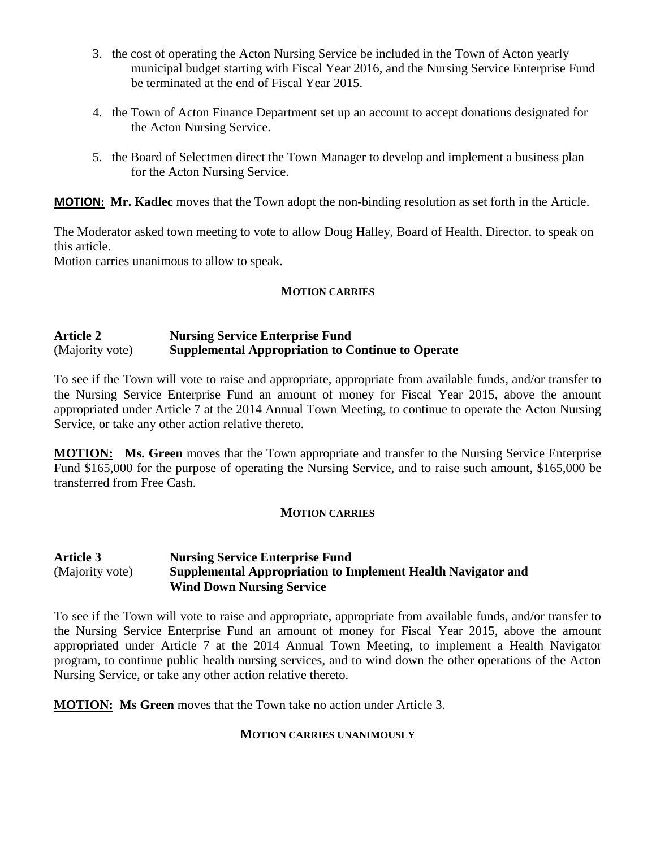- 3. the cost of operating the Acton Nursing Service be included in the Town of Acton yearly municipal budget starting with Fiscal Year 2016, and the Nursing Service Enterprise Fund be terminated at the end of Fiscal Year 2015.
- 4. the Town of Acton Finance Department set up an account to accept donations designated for the Acton Nursing Service.
- 5. the Board of Selectmen direct the Town Manager to develop and implement a business plan for the Acton Nursing Service.

**MOTION: Mr. Kadlec** moves that the Town adopt the non-binding resolution as set forth in the Article.

The Moderator asked town meeting to vote to allow Doug Halley, Board of Health, Director, to speak on this article.

Motion carries unanimous to allow to speak.

## **MOTION CARRIES**

## **Article 2 Nursing Service Enterprise Fund** (Majority vote) **Supplemental Appropriation to Continue to Operate**

To see if the Town will vote to raise and appropriate, appropriate from available funds, and/or transfer to the Nursing Service Enterprise Fund an amount of money for Fiscal Year 2015, above the amount appropriated under Article 7 at the 2014 Annual Town Meeting, to continue to operate the Acton Nursing Service, or take any other action relative thereto.

**MOTION: Ms. Green** moves that the Town appropriate and transfer to the Nursing Service Enterprise Fund \$165,000 for the purpose of operating the Nursing Service, and to raise such amount, \$165,000 be transferred from Free Cash.

#### **MOTION CARRIES**

## **Article 3 Nursing Service Enterprise Fund**  (Majority vote) **Supplemental Appropriation to Implement Health Navigator and Wind Down Nursing Service**

To see if the Town will vote to raise and appropriate, appropriate from available funds, and/or transfer to the Nursing Service Enterprise Fund an amount of money for Fiscal Year 2015, above the amount appropriated under Article 7 at the 2014 Annual Town Meeting, to implement a Health Navigator program, to continue public health nursing services, and to wind down the other operations of the Acton Nursing Service, or take any other action relative thereto.

**MOTION: Ms Green** moves that the Town take no action under Article 3.

#### **MOTION CARRIES UNANIMOUSLY**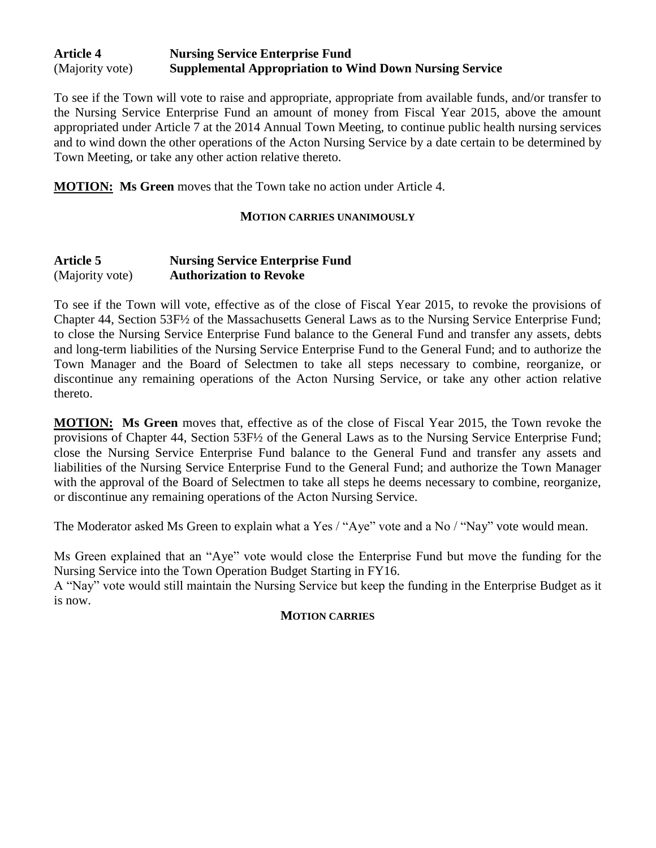## **Article 4 Nursing Service Enterprise Fund** (Majority vote) **Supplemental Appropriation to Wind Down Nursing Service**

To see if the Town will vote to raise and appropriate, appropriate from available funds, and/or transfer to the Nursing Service Enterprise Fund an amount of money from Fiscal Year 2015, above the amount appropriated under Article 7 at the 2014 Annual Town Meeting, to continue public health nursing services and to wind down the other operations of the Acton Nursing Service by a date certain to be determined by Town Meeting, or take any other action relative thereto.

**MOTION: Ms Green** moves that the Town take no action under Article 4.

### **MOTION CARRIES UNANIMOUSLY**

## **Article 5 Nursing Service Enterprise Fund** (Majority vote) **Authorization to Revoke**

To see if the Town will vote, effective as of the close of Fiscal Year 2015, to revoke the provisions of Chapter 44, Section 53F½ of the Massachusetts General Laws as to the Nursing Service Enterprise Fund; to close the Nursing Service Enterprise Fund balance to the General Fund and transfer any assets, debts and long-term liabilities of the Nursing Service Enterprise Fund to the General Fund; and to authorize the Town Manager and the Board of Selectmen to take all steps necessary to combine, reorganize, or discontinue any remaining operations of the Acton Nursing Service, or take any other action relative thereto.

**MOTION: Ms Green** moves that, effective as of the close of Fiscal Year 2015, the Town revoke the provisions of Chapter 44, Section 53F½ of the General Laws as to the Nursing Service Enterprise Fund; close the Nursing Service Enterprise Fund balance to the General Fund and transfer any assets and liabilities of the Nursing Service Enterprise Fund to the General Fund; and authorize the Town Manager with the approval of the Board of Selectmen to take all steps he deems necessary to combine, reorganize, or discontinue any remaining operations of the Acton Nursing Service.

The Moderator asked Ms Green to explain what a Yes / "Aye" vote and a No / "Nay" vote would mean.

Ms Green explained that an "Aye" vote would close the Enterprise Fund but move the funding for the Nursing Service into the Town Operation Budget Starting in FY16.

A "Nay" vote would still maintain the Nursing Service but keep the funding in the Enterprise Budget as it is now.

#### **MOTION CARRIES**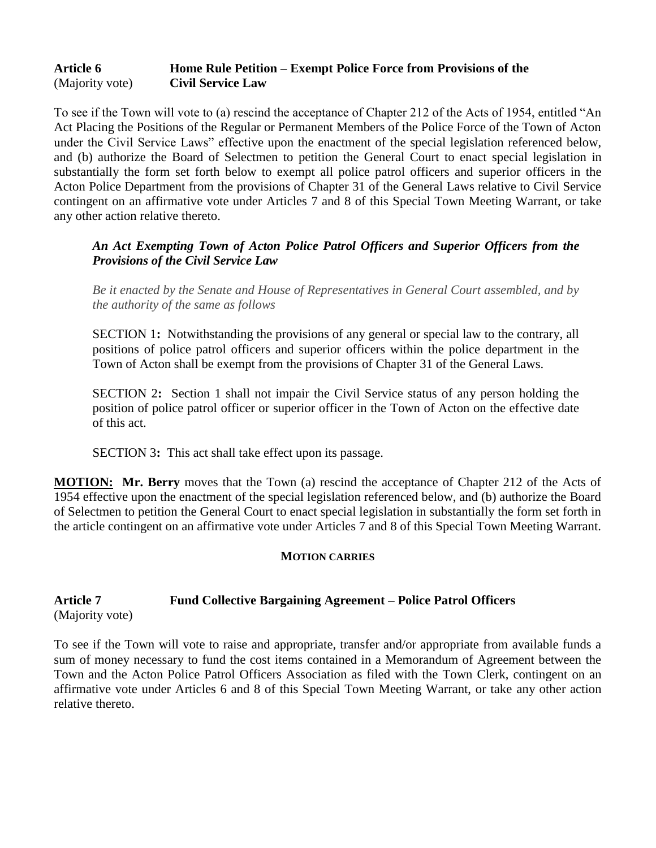## **Article 6 Home Rule Petition – Exempt Police Force from Provisions of the**  (Majority vote) **Civil Service Law**

To see if the Town will vote to (a) rescind the acceptance of Chapter 212 of the Acts of 1954, entitled "An Act Placing the Positions of the Regular or Permanent Members of the Police Force of the Town of Acton under the Civil Service Laws" effective upon the enactment of the special legislation referenced below, and (b) authorize the Board of Selectmen to petition the General Court to enact special legislation in substantially the form set forth below to exempt all police patrol officers and superior officers in the Acton Police Department from the provisions of Chapter 31 of the General Laws relative to Civil Service contingent on an affirmative vote under Articles 7 and 8 of this Special Town Meeting Warrant, or take any other action relative thereto.

### *An Act Exempting Town of Acton Police Patrol Officers and Superior Officers from the Provisions of the Civil Service Law*

*Be it enacted by the Senate and House of Representatives in General Court assembled, and by the authority of the same as follows*

SECTION 1**:** Notwithstanding the provisions of any general or special law to the contrary, all positions of police patrol officers and superior officers within the police department in the Town of Acton shall be exempt from the provisions of Chapter 31 of the General Laws.

SECTION 2**:** Section 1 shall not impair the Civil Service status of any person holding the position of police patrol officer or superior officer in the Town of Acton on the effective date of this act.

SECTION 3**:** This act shall take effect upon its passage.

**MOTION: Mr. Berry** moves that the Town (a) rescind the acceptance of Chapter 212 of the Acts of 1954 effective upon the enactment of the special legislation referenced below, and (b) authorize the Board of Selectmen to petition the General Court to enact special legislation in substantially the form set forth in the article contingent on an affirmative vote under Articles 7 and 8 of this Special Town Meeting Warrant.

## **MOTION CARRIES**

#### **Article 7 Fund Collective Bargaining Agreement – Police Patrol Officers** (Majority vote)

To see if the Town will vote to raise and appropriate, transfer and/or appropriate from available funds a sum of money necessary to fund the cost items contained in a Memorandum of Agreement between the Town and the Acton Police Patrol Officers Association as filed with the Town Clerk, contingent on an affirmative vote under Articles 6 and 8 of this Special Town Meeting Warrant, or take any other action relative thereto.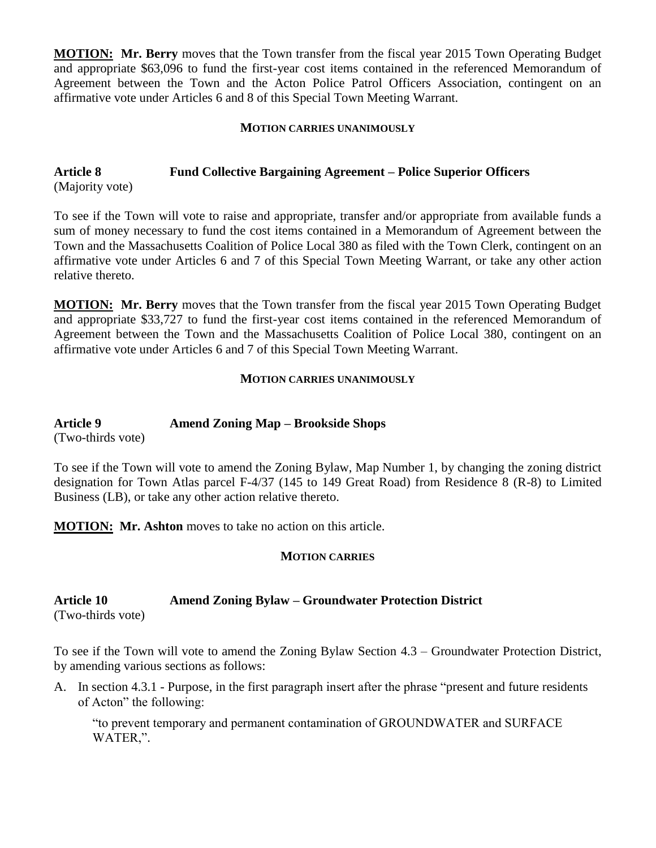**MOTION: Mr. Berry** moves that the Town transfer from the fiscal year 2015 Town Operating Budget and appropriate \$63,096 to fund the first-year cost items contained in the referenced Memorandum of Agreement between the Town and the Acton Police Patrol Officers Association, contingent on an affirmative vote under Articles 6 and 8 of this Special Town Meeting Warrant.

#### **MOTION CARRIES UNANIMOUSLY**

#### **Article 8 Fund Collective Bargaining Agreement – Police Superior Officers** (Majority vote)

To see if the Town will vote to raise and appropriate, transfer and/or appropriate from available funds a sum of money necessary to fund the cost items contained in a Memorandum of Agreement between the Town and the Massachusetts Coalition of Police Local 380 as filed with the Town Clerk, contingent on an affirmative vote under Articles 6 and 7 of this Special Town Meeting Warrant, or take any other action

**MOTION: Mr. Berry** moves that the Town transfer from the fiscal year 2015 Town Operating Budget and appropriate \$33,727 to fund the first-year cost items contained in the referenced Memorandum of Agreement between the Town and the Massachusetts Coalition of Police Local 380, contingent on an affirmative vote under Articles 6 and 7 of this Special Town Meeting Warrant.

### **MOTION CARRIES UNANIMOUSLY**

#### **Article 9 Amend Zoning Map – Brookside Shops** (Two-thirds vote)

To see if the Town will vote to amend the Zoning Bylaw, Map Number 1, by changing the zoning district designation for Town Atlas parcel F-4/37 (145 to 149 Great Road) from Residence 8 (R-8) to Limited Business (LB), or take any other action relative thereto.

**MOTION: Mr. Ashton** moves to take no action on this article.

## **MOTION CARRIES**

## **Article 10 Amend Zoning Bylaw – Groundwater Protection District**

(Two-thirds vote)

relative thereto.

To see if the Town will vote to amend the Zoning Bylaw Section 4.3 – Groundwater Protection District, by amending various sections as follows:

A. In section 4.3.1 - Purpose, in the first paragraph insert after the phrase "present and future residents of Acton" the following:

"to prevent temporary and permanent contamination of GROUNDWATER and SURFACE WATER,".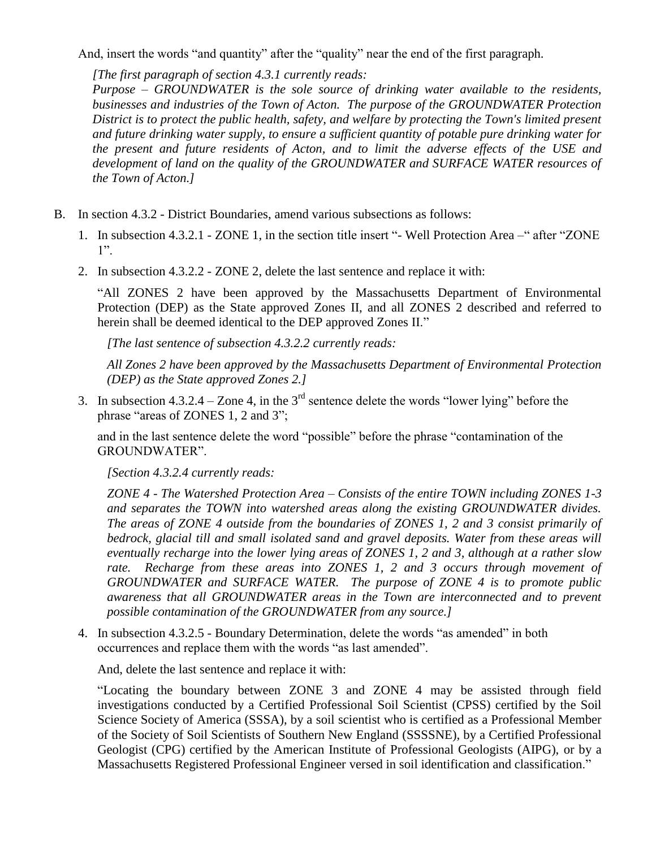And, insert the words "and quantity" after the "quality" near the end of the first paragraph.

*[The first paragraph of section 4.3.1 currently reads:*

*Purpose – GROUNDWATER is the sole source of drinking water available to the residents, businesses and industries of the Town of Acton. The purpose of the GROUNDWATER Protection District is to protect the public health, safety, and welfare by protecting the Town's limited present and future drinking water supply, to ensure a sufficient quantity of potable pure drinking water for the present and future residents of Acton, and to limit the adverse effects of the USE and development of land on the quality of the GROUNDWATER and SURFACE WATER resources of the Town of Acton.]*

- B. In section 4.3.2 District Boundaries, amend various subsections as follows:
	- 1. In subsection 4.3.2.1 ZONE 1, in the section title insert "- Well Protection Area –" after "ZONE 1".
	- 2. In subsection 4.3.2.2 ZONE 2, delete the last sentence and replace it with:

"All ZONES 2 have been approved by the Massachusetts Department of Environmental Protection (DEP) as the State approved Zones II, and all ZONES 2 described and referred to herein shall be deemed identical to the DEP approved Zones II."

*[The last sentence of subsection 4.3.2.2 currently reads:*

*All Zones 2 have been approved by the Massachusetts Department of Environmental Protection (DEP) as the State approved Zones 2.]*

3. In subsection  $4.3.2.4 - \text{Zone } 4$ , in the  $3^{\text{rd}}$  sentence delete the words "lower lying" before the phrase "areas of ZONES 1, 2 and 3";

and in the last sentence delete the word "possible" before the phrase "contamination of the GROUNDWATER".

*[Section 4.3.2.4 currently reads:*

*ZONE 4 - The Watershed Protection Area – Consists of the entire TOWN including ZONES 1-3 and separates the TOWN into watershed areas along the existing GROUNDWATER divides. The areas of ZONE 4 outside from the boundaries of ZONES 1, 2 and 3 consist primarily of bedrock, glacial till and small isolated sand and gravel deposits. Water from these areas will eventually recharge into the lower lying areas of ZONES 1, 2 and 3, although at a rather slow*  rate. Recharge from these areas into ZONES 1, 2 and 3 occurs through movement of *GROUNDWATER and SURFACE WATER. The purpose of ZONE 4 is to promote public awareness that all GROUNDWATER areas in the Town are interconnected and to prevent possible contamination of the GROUNDWATER from any source.]*

4. In subsection 4.3.2.5 - Boundary Determination, delete the words "as amended" in both occurrences and replace them with the words "as last amended".

And, delete the last sentence and replace it with:

"Locating the boundary between ZONE 3 and ZONE 4 may be assisted through field investigations conducted by a Certified Professional Soil Scientist (CPSS) certified by the Soil Science Society of America (SSSA), by a soil scientist who is certified as a Professional Member of the Society of Soil Scientists of Southern New England (SSSSNE), by a Certified Professional Geologist (CPG) certified by the American Institute of Professional Geologists (AIPG), or by a Massachusetts Registered Professional Engineer versed in soil identification and classification."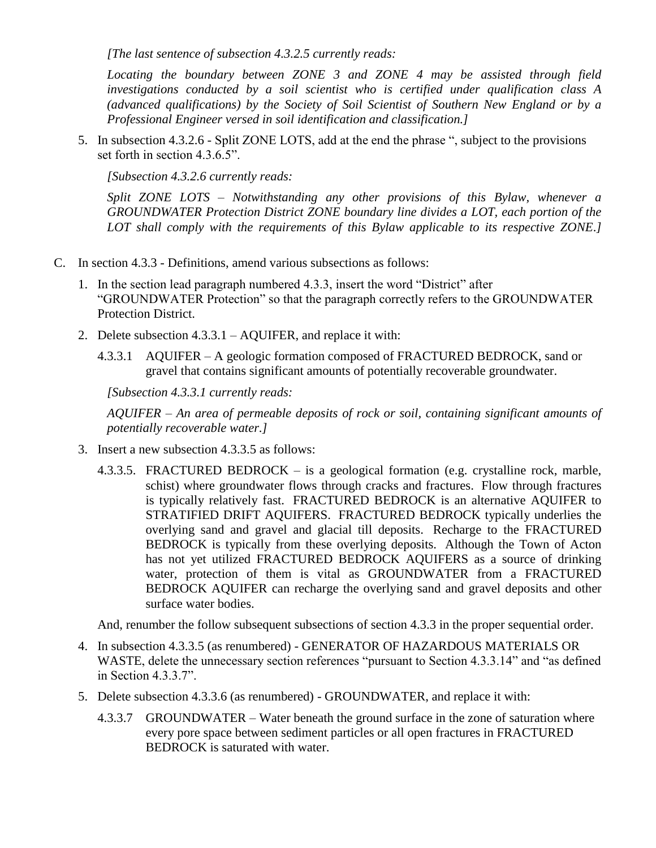*[The last sentence of subsection 4.3.2.5 currently reads:*

*Locating the boundary between ZONE 3 and ZONE 4 may be assisted through field investigations conducted by a soil scientist who is certified under qualification class A (advanced qualifications) by the Society of Soil Scientist of Southern New England or by a Professional Engineer versed in soil identification and classification.]*

5. In subsection 4.3.2.6 - Split ZONE LOTS, add at the end the phrase ", subject to the provisions set forth in section 4.3.6.5".

*[Subsection 4.3.2.6 currently reads:*

*Split ZONE LOTS – Notwithstanding any other provisions of this Bylaw, whenever a GROUNDWATER Protection District ZONE boundary line divides a LOT, each portion of the LOT shall comply with the requirements of this Bylaw applicable to its respective ZONE.]*

- C. In section 4.3.3 Definitions, amend various subsections as follows:
	- 1. In the section lead paragraph numbered 4.3.3, insert the word "District" after "GROUNDWATER Protection" so that the paragraph correctly refers to the GROUNDWATER Protection District.
	- 2. Delete subsection 4.3.3.1 AQUIFER, and replace it with:
		- 4.3.3.1 AQUIFER A geologic formation composed of FRACTURED BEDROCK, sand or gravel that contains significant amounts of potentially recoverable groundwater.

*[Subsection 4.3.3.1 currently reads:*

*AQUIFER – An area of permeable deposits of rock or soil, containing significant amounts of potentially recoverable water.]*

- 3. Insert a new subsection 4.3.3.5 as follows:
	- 4.3.3.5. FRACTURED BEDROCK is a geological formation (e.g. crystalline rock, marble, schist) where groundwater flows through cracks and fractures. Flow through fractures is typically relatively fast. FRACTURED BEDROCK is an alternative AQUIFER to STRATIFIED DRIFT AQUIFERS. FRACTURED BEDROCK typically underlies the overlying sand and gravel and glacial till deposits. Recharge to the FRACTURED BEDROCK is typically from these overlying deposits. Although the Town of Acton has not yet utilized FRACTURED BEDROCK AQUIFERS as a source of drinking water, protection of them is vital as GROUNDWATER from a FRACTURED BEDROCK AQUIFER can recharge the overlying sand and gravel deposits and other surface water bodies.

And, renumber the follow subsequent subsections of section 4.3.3 in the proper sequential order.

- 4. In subsection 4.3.3.5 (as renumbered) GENERATOR OF HAZARDOUS MATERIALS OR WASTE, delete the unnecessary section references "pursuant to Section 4.3.3.14" and "as defined in Section 4.3.3.7".
- 5. Delete subsection 4.3.3.6 (as renumbered) GROUNDWATER, and replace it with:
	- 4.3.3.7 GROUNDWATER Water beneath the ground surface in the zone of saturation where every pore space between sediment particles or all open fractures in FRACTURED BEDROCK is saturated with water.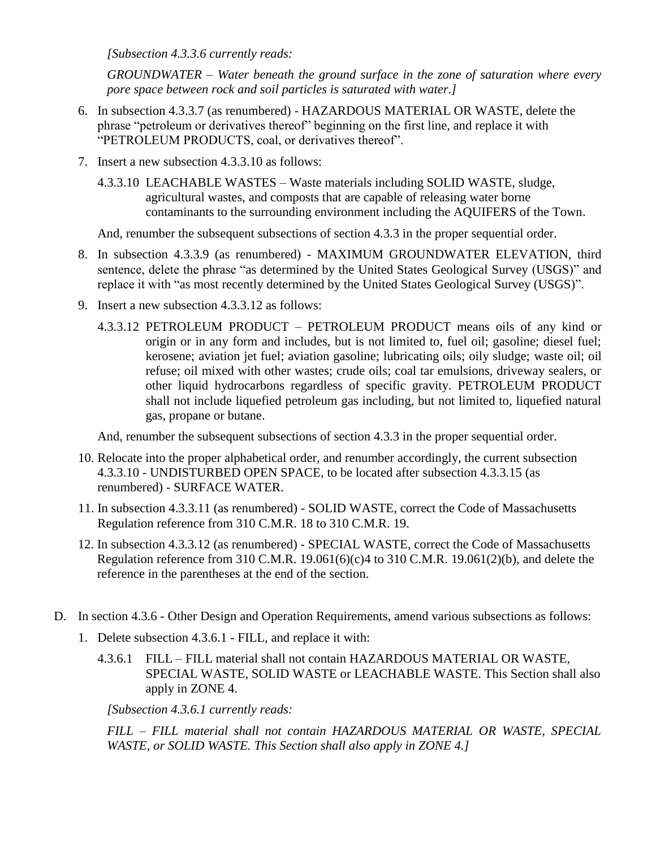*[Subsection 4.3.3.6 currently reads:*

*GROUNDWATER – Water beneath the ground surface in the zone of saturation where every pore space between rock and soil particles is saturated with water.]*

- 6. In subsection 4.3.3.7 (as renumbered) HAZARDOUS MATERIAL OR WASTE, delete the phrase "petroleum or derivatives thereof" beginning on the first line, and replace it with "PETROLEUM PRODUCTS, coal, or derivatives thereof".
- 7. Insert a new subsection 4.3.3.10 as follows:
	- 4.3.3.10 LEACHABLE WASTES Waste materials including SOLID WASTE, sludge, agricultural wastes, and composts that are capable of releasing water borne contaminants to the surrounding environment including the AQUIFERS of the Town.

And, renumber the subsequent subsections of section 4.3.3 in the proper sequential order.

- 8. In subsection 4.3.3.9 (as renumbered) MAXIMUM GROUNDWATER ELEVATION, third sentence, delete the phrase "as determined by the United States Geological Survey (USGS)" and replace it with "as most recently determined by the United States Geological Survey (USGS)".
- 9. Insert a new subsection 4.3.3.12 as follows:
	- 4.3.3.12 PETROLEUM PRODUCT PETROLEUM PRODUCT means oils of any kind or origin or in any form and includes, but is not limited to, fuel oil; gasoline; diesel fuel; kerosene; aviation jet fuel; aviation gasoline; lubricating oils; oily sludge; waste oil; oil refuse; oil mixed with other wastes; crude oils; coal tar emulsions, driveway sealers, or other liquid hydrocarbons regardless of specific gravity. PETROLEUM PRODUCT shall not include liquefied petroleum gas including, but not limited to, liquefied natural gas, propane or butane.

And, renumber the subsequent subsections of section 4.3.3 in the proper sequential order.

- 10. Relocate into the proper alphabetical order, and renumber accordingly, the current subsection 4.3.3.10 - UNDISTURBED OPEN SPACE, to be located after subsection 4.3.3.15 (as renumbered) - SURFACE WATER.
- 11. In subsection 4.3.3.11 (as renumbered) SOLID WASTE, correct the Code of Massachusetts Regulation reference from 310 C.M.R. 18 to 310 C.M.R. 19.
- 12. In subsection 4.3.3.12 (as renumbered) SPECIAL WASTE, correct the Code of Massachusetts Regulation reference from 310 C.M.R. 19.061(6)(c)4 to 310 C.M.R. 19.061(2)(b), and delete the reference in the parentheses at the end of the section.
- D. In section 4.3.6 Other Design and Operation Requirements, amend various subsections as follows:
	- 1. Delete subsection 4.3.6.1 FILL, and replace it with:
		- 4.3.6.1 FILL FILL material shall not contain HAZARDOUS MATERIAL OR WASTE, SPECIAL WASTE, SOLID WASTE or LEACHABLE WASTE. This Section shall also apply in ZONE 4.

*[Subsection 4.3.6.1 currently reads:*

*FILL – FILL material shall not contain HAZARDOUS MATERIAL OR WASTE, SPECIAL WASTE, or SOLID WASTE. This Section shall also apply in ZONE 4.]*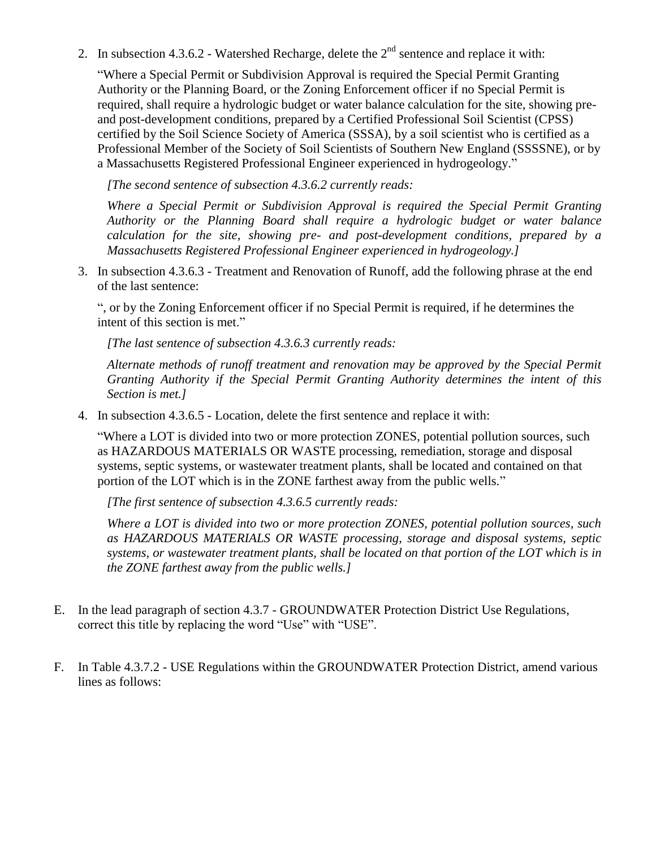2. In subsection 4.3.6.2 - Watershed Recharge, delete the  $2<sup>nd</sup>$  sentence and replace it with:

"Where a Special Permit or Subdivision Approval is required the Special Permit Granting Authority or the Planning Board, or the Zoning Enforcement officer if no Special Permit is required, shall require a hydrologic budget or water balance calculation for the site, showing preand post-development conditions, prepared by a Certified Professional Soil Scientist (CPSS) certified by the Soil Science Society of America (SSSA), by a soil scientist who is certified as a Professional Member of the Society of Soil Scientists of Southern New England (SSSSNE), or by a Massachusetts Registered Professional Engineer experienced in hydrogeology."

*[The second sentence of subsection 4.3.6.2 currently reads:*

*Where a Special Permit or Subdivision Approval is required the Special Permit Granting Authority or the Planning Board shall require a hydrologic budget or water balance calculation for the site, showing pre- and post-development conditions, prepared by a Massachusetts Registered Professional Engineer experienced in hydrogeology.]*

3. In subsection 4.3.6.3 - Treatment and Renovation of Runoff, add the following phrase at the end of the last sentence:

", or by the Zoning Enforcement officer if no Special Permit is required, if he determines the intent of this section is met."

*[The last sentence of subsection 4.3.6.3 currently reads:*

*Alternate methods of runoff treatment and renovation may be approved by the Special Permit Granting Authority if the Special Permit Granting Authority determines the intent of this Section is met.]*

4. In subsection 4.3.6.5 - Location, delete the first sentence and replace it with:

"Where a LOT is divided into two or more protection ZONES, potential pollution sources, such as HAZARDOUS MATERIALS OR WASTE processing, remediation, storage and disposal systems, septic systems, or wastewater treatment plants, shall be located and contained on that portion of the LOT which is in the ZONE farthest away from the public wells."

*[The first sentence of subsection 4.3.6.5 currently reads:*

*Where a LOT is divided into two or more protection ZONES, potential pollution sources, such as HAZARDOUS MATERIALS OR WASTE processing, storage and disposal systems, septic systems, or wastewater treatment plants, shall be located on that portion of the LOT which is in the ZONE farthest away from the public wells.]*

- E. In the lead paragraph of section 4.3.7 GROUNDWATER Protection District Use Regulations, correct this title by replacing the word "Use" with "USE".
- F. In Table 4.3.7.2 USE Regulations within the GROUNDWATER Protection District, amend various lines as follows: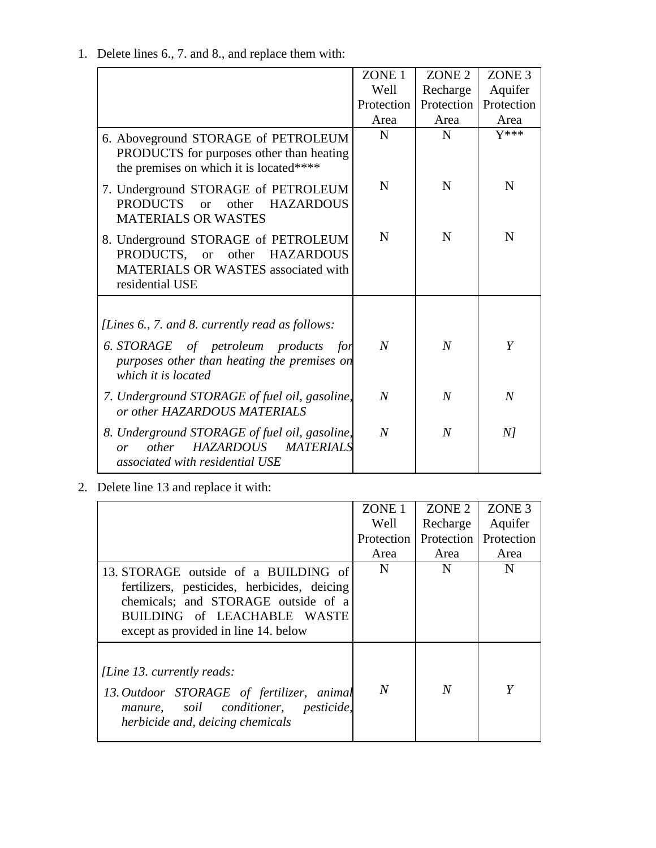|                                                                                                                                                      | ZONE <sub>1</sub> | ZONE <sub>2</sub> | ZONE <sub>3</sub> |
|------------------------------------------------------------------------------------------------------------------------------------------------------|-------------------|-------------------|-------------------|
|                                                                                                                                                      | Well              | Recharge          | Aquifer           |
|                                                                                                                                                      | Protection        | Protection        | Protection        |
|                                                                                                                                                      | Area              | Area              | Area              |
| 6. Aboveground STORAGE of PETROLEUM<br>PRODUCTS for purposes other than heating<br>the premises on which it is located****                           | N                 | N                 | $V***$            |
| 7. Underground STORAGE of PETROLEUM<br>other HAZARDOUS<br><b>PRODUCTS</b><br><b>or</b><br><b>MATERIALS OR WASTES</b>                                 | N                 | N                 | N                 |
| 8. Underground STORAGE of PETROLEUM<br>PRODUCTS, or other HAZARDOUS<br><b>MATERIALS OR WASTES associated with</b><br>residential USE                 | N                 | N                 | N                 |
| [Lines 6., 7. and 8. currently read as follows:                                                                                                      |                   |                   |                   |
| 6. STORAGE of petroleum products for<br>purposes other than heating the premises on<br>which it is located                                           | $\overline{N}$    | $\overline{N}$    | Y                 |
| 7. Underground STORAGE of fuel oil, gasoline,<br>or other HAZARDOUS MATERIALS                                                                        | $\overline{N}$    | $\overline{N}$    | $\overline{N}$    |
| 8. Underground STORAGE of fuel oil, gasoline,<br><b>HAZARDOUS</b><br><b>MATERIALS</b><br>other<br>$\overline{or}$<br>associated with residential USE | $\overline{N}$    | $\overline{N}$    | N1                |

1. Delete lines 6., 7. and 8., and replace them with:

2. Delete line 13 and replace it with:

|                                                                                                                                                                                                    | ZONE <sub>1</sub> | ZONE <sub>2</sub>            | ZONE <sub>3</sub> |
|----------------------------------------------------------------------------------------------------------------------------------------------------------------------------------------------------|-------------------|------------------------------|-------------------|
|                                                                                                                                                                                                    | Well              | Recharge                     | Aquifer           |
|                                                                                                                                                                                                    | Protection        | <b>Protection</b> Protection |                   |
|                                                                                                                                                                                                    | Area              | Area                         | Area              |
| 13. STORAGE outside of a BUILDING of<br>fertilizers, pesticides, herbicides, deicing<br>chemicals; and STORAGE outside of a<br>BUILDING of LEACHABLE WASTE<br>except as provided in line 14. below | N                 | N                            | N                 |
| [Line 13. currently reads:<br>13. Outdoor STORAGE of fertilizer, animal<br>manure, soil conditioner, pesticide,<br>herbicide and, deicing chemicals                                                | $\overline{N}$    | N                            | Y                 |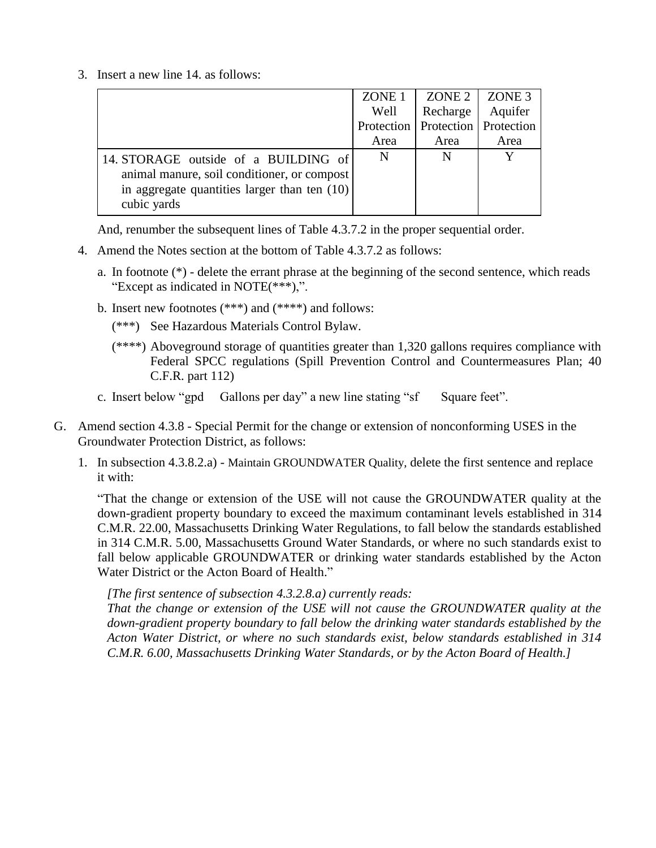3. Insert a new line 14. as follows:

|                                                | ZONE <sub>1</sub> |                                      | ZONE $2 \mid$ ZONE 3 |
|------------------------------------------------|-------------------|--------------------------------------|----------------------|
|                                                | Well              | Recharge                             | Aquifer              |
|                                                |                   | Protection   Protection   Protection |                      |
|                                                | Area              | Area                                 | Area                 |
| 14. STORAGE outside of a BUILDING of           | N                 | N                                    |                      |
| animal manure, soil conditioner, or compost    |                   |                                      |                      |
| in aggregate quantities larger than ten $(10)$ |                   |                                      |                      |
| cubic yards                                    |                   |                                      |                      |

And, renumber the subsequent lines of Table 4.3.7.2 in the proper sequential order.

- 4. Amend the Notes section at the bottom of Table 4.3.7.2 as follows:
	- a. In footnote (\*) delete the errant phrase at the beginning of the second sentence, which reads "Except as indicated in NOTE(\*\*\*),".
	- b. Insert new footnotes (\*\*\*) and (\*\*\*\*) and follows:
		- (\*\*\*) See Hazardous Materials Control Bylaw.
		- (\*\*\*\*) Aboveground storage of quantities greater than 1,320 gallons requires compliance with Federal SPCC regulations (Spill Prevention Control and Countermeasures Plan; 40 C.F.R. part 112)
	- c. Insert below "gpd Gallons per day" a new line stating "sf Square feet".
- G. Amend section 4.3.8 Special Permit for the change or extension of nonconforming USES in the Groundwater Protection District, as follows:
	- 1. In subsection 4.3.8.2.a) Maintain GROUNDWATER Quality, delete the first sentence and replace it with:

"That the change or extension of the USE will not cause the GROUNDWATER quality at the down-gradient property boundary to exceed the maximum contaminant levels established in 314 C.M.R. 22.00, Massachusetts Drinking Water Regulations, to fall below the standards established in 314 C.M.R. 5.00, Massachusetts Ground Water Standards, or where no such standards exist to fall below applicable GROUNDWATER or drinking water standards established by the Acton Water District or the Acton Board of Health."

*[The first sentence of subsection 4.3.2.8.a) currently reads:*

*That the change or extension of the USE will not cause the GROUNDWATER quality at the down-gradient property boundary to fall below the drinking water standards established by the Acton Water District, or where no such standards exist, below standards established in 314 C.M.R. 6.00, Massachusetts Drinking Water Standards, or by the Acton Board of Health.]*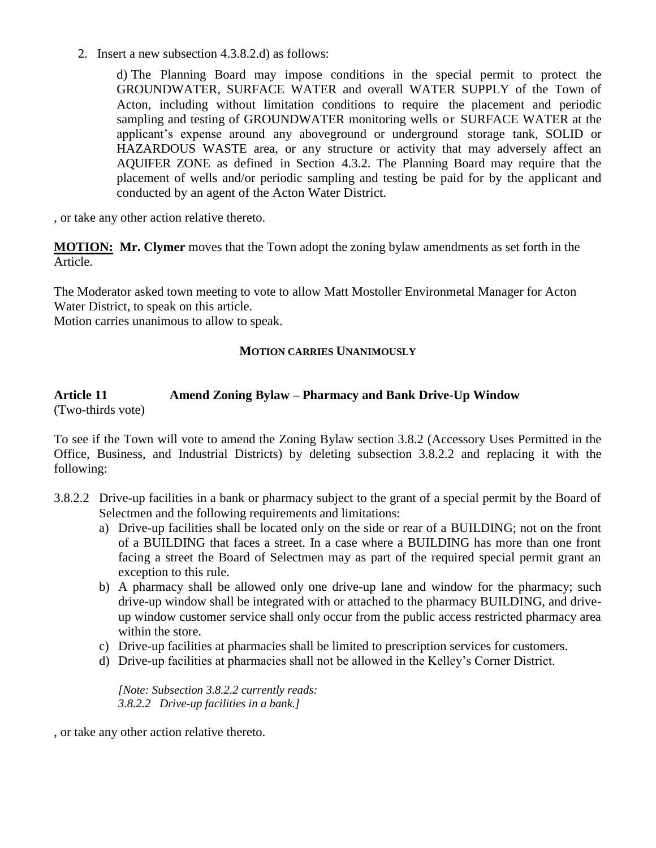2. Insert a new subsection 4.3.8.2.d) as follows:

d) The Planning Board may impose conditions in the special permit to protect the GROUNDWATER, SURFACE WATER and overall WATER SUPPLY of the Town of Acton, including without limitation conditions to require the placement and periodic sampling and testing of GROUNDWATER monitoring wells or SURFACE WATER at the applicant's expense around any aboveground or underground storage tank, SOLID or HAZARDOUS WASTE area, or any structure or activity that may adversely affect an AQUIFER ZONE as defined in Section 4.3.2. The Planning Board may require that the placement of wells and/or periodic sampling and testing be paid for by the applicant and conducted by an agent of the Acton Water District.

, or take any other action relative thereto.

**MOTION: Mr. Clymer** moves that the Town adopt the zoning bylaw amendments as set forth in the Article.

The Moderator asked town meeting to vote to allow Matt Mostoller Environmetal Manager for Acton Water District, to speak on this article.

Motion carries unanimous to allow to speak.

## **MOTION CARRIES UNANIMOUSLY**

#### **Article 11 Amend Zoning Bylaw – Pharmacy and Bank Drive-Up Window** (Two-thirds vote)

To see if the Town will vote to amend the Zoning Bylaw section 3.8.2 (Accessory Uses Permitted in the Office, Business, and Industrial Districts) by deleting subsection 3.8.2.2 and replacing it with the following:

- 3.8.2.2 Drive-up facilities in a bank or pharmacy subject to the grant of a special permit by the Board of Selectmen and the following requirements and limitations:
	- a) Drive-up facilities shall be located only on the side or rear of a BUILDING; not on the front of a BUILDING that faces a street. In a case where a BUILDING has more than one front facing a street the Board of Selectmen may as part of the required special permit grant an exception to this rule.
	- b) A pharmacy shall be allowed only one drive-up lane and window for the pharmacy; such drive-up window shall be integrated with or attached to the pharmacy BUILDING, and driveup window customer service shall only occur from the public access restricted pharmacy area within the store.
	- c) Drive-up facilities at pharmacies shall be limited to prescription services for customers.
	- d) Drive-up facilities at pharmacies shall not be allowed in the Kelley's Corner District.

*[Note: Subsection 3.8.2.2 currently reads: 3.8.2.2 Drive-up facilities in a bank.]*

, or take any other action relative thereto.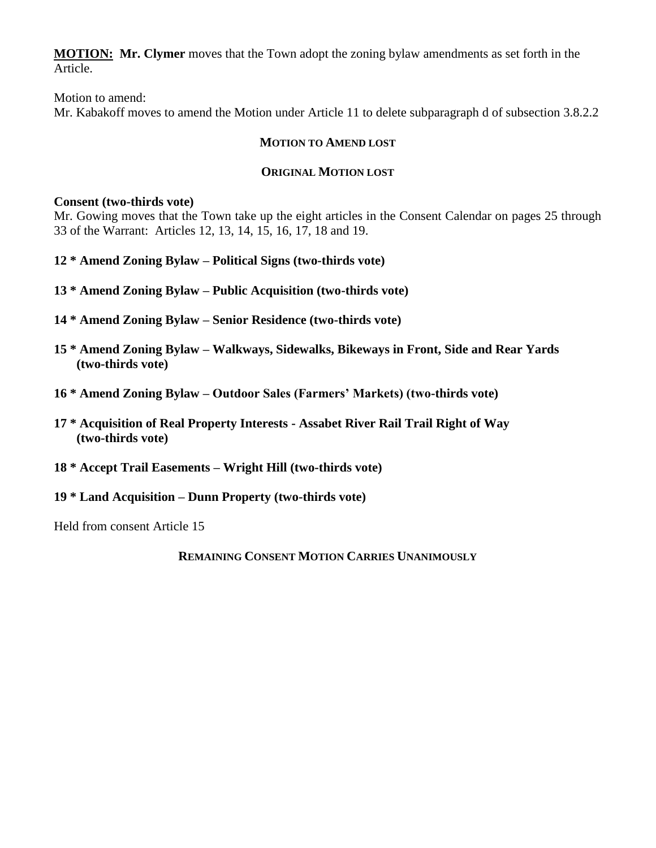**MOTION: Mr. Clymer** moves that the Town adopt the zoning bylaw amendments as set forth in the Article.

Motion to amend: Mr. Kabakoff moves to amend the Motion under Article 11 to delete subparagraph d of subsection 3.8.2.2

#### **MOTION TO AMEND LOST**

#### **ORIGINAL MOTION LOST**

#### **Consent (two-thirds vote)**

Mr. Gowing moves that the Town take up the eight articles in the Consent Calendar on pages 25 through 33 of the Warrant: Articles 12, 13, 14, 15, 16, 17, 18 and 19.

- **12 \* Amend Zoning Bylaw – Political Signs (two-thirds vote)**
- **13 \* Amend Zoning Bylaw – Public Acquisition (two-thirds vote)**
- **14 \* Amend Zoning Bylaw – Senior Residence (two-thirds vote)**
- **15 \* Amend Zoning Bylaw – Walkways, Sidewalks, Bikeways in Front, Side and Rear Yards (two-thirds vote)**
- **16 \* Amend Zoning Bylaw – Outdoor Sales (Farmers' Markets) (two-thirds vote)**
- **17 \* Acquisition of Real Property Interests - Assabet River Rail Trail Right of Way (two-thirds vote)**
- **18 \* Accept Trail Easements – Wright Hill (two-thirds vote)**
- **19 \* Land Acquisition – Dunn Property (two-thirds vote)**

Held from consent Article 15

**REMAINING CONSENT MOTION CARRIES UNANIMOUSLY**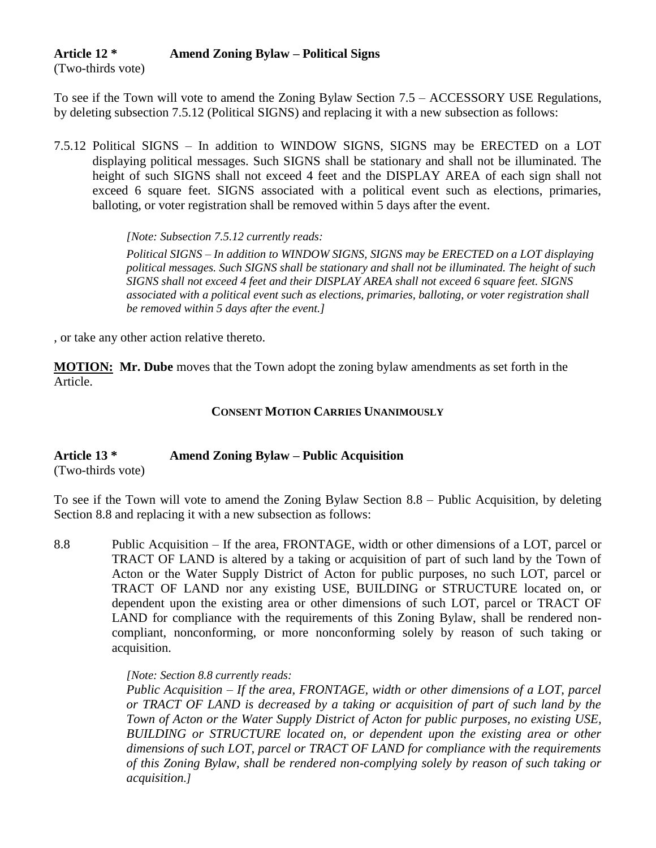## **Article 12 \* Amend Zoning Bylaw – Political Signs**

(Two-thirds vote)

To see if the Town will vote to amend the Zoning Bylaw Section 7.5 – ACCESSORY USE Regulations, by deleting subsection 7.5.12 (Political SIGNS) and replacing it with a new subsection as follows:

7.5.12 Political SIGNS – In addition to WINDOW SIGNS, SIGNS may be ERECTED on a LOT displaying political messages. Such SIGNS shall be stationary and shall not be illuminated. The height of such SIGNS shall not exceed 4 feet and the DISPLAY AREA of each sign shall not exceed 6 square feet. SIGNS associated with a political event such as elections, primaries, balloting, or voter registration shall be removed within 5 days after the event.

*[Note: Subsection 7.5.12 currently reads:*

*Political SIGNS – In addition to WINDOW SIGNS, SIGNS may be ERECTED on a LOT displaying political messages. Such SIGNS shall be stationary and shall not be illuminated. The height of such SIGNS shall not exceed 4 feet and their DISPLAY AREA shall not exceed 6 square feet. SIGNS associated with a political event such as elections, primaries, balloting, or voter registration shall be removed within 5 days after the event.]*

, or take any other action relative thereto.

**MOTION: Mr. Dube** moves that the Town adopt the zoning bylaw amendments as set forth in the Article.

## **CONSENT MOTION CARRIES UNANIMOUSLY**

## **Article 13 \* Amend Zoning Bylaw – Public Acquisition**

(Two-thirds vote)

To see if the Town will vote to amend the Zoning Bylaw Section 8.8 – Public Acquisition, by deleting Section 8.8 and replacing it with a new subsection as follows:

8.8 Public Acquisition – If the area, FRONTAGE, width or other dimensions of a LOT, parcel or TRACT OF LAND is altered by a taking or acquisition of part of such land by the Town of Acton or the Water Supply District of Acton for public purposes, no such LOT, parcel or TRACT OF LAND nor any existing USE, BUILDING or STRUCTURE located on, or dependent upon the existing area or other dimensions of such LOT, parcel or TRACT OF LAND for compliance with the requirements of this Zoning Bylaw, shall be rendered noncompliant, nonconforming, or more nonconforming solely by reason of such taking or acquisition.

## *[Note: Section 8.8 currently reads:*

*Public Acquisition – If the area, FRONTAGE, width or other dimensions of a LOT, parcel or TRACT OF LAND is decreased by a taking or acquisition of part of such land by the Town of Acton or the Water Supply District of Acton for public purposes, no existing USE, BUILDING or STRUCTURE located on, or dependent upon the existing area or other dimensions of such LOT, parcel or TRACT OF LAND for compliance with the requirements of this Zoning Bylaw, shall be rendered non-complying solely by reason of such taking or acquisition.]*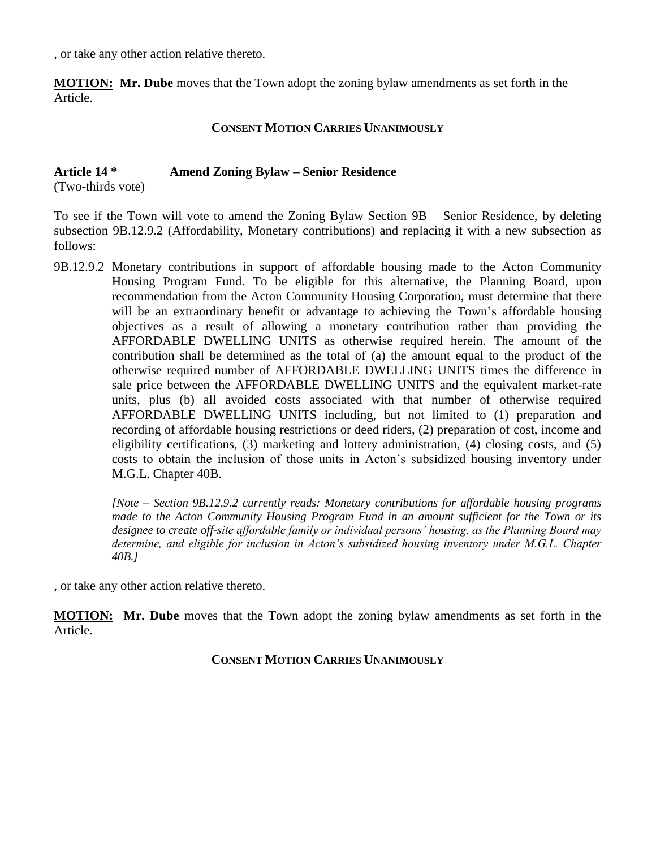, or take any other action relative thereto.

**MOTION: Mr. Dube** moves that the Town adopt the zoning bylaw amendments as set forth in the Article.

## **CONSENT MOTION CARRIES UNANIMOUSLY**

## **Article 14 \* Amend Zoning Bylaw – Senior Residence**

(Two-thirds vote)

To see if the Town will vote to amend the Zoning Bylaw Section 9B – Senior Residence, by deleting subsection 9B.12.9.2 (Affordability, Monetary contributions) and replacing it with a new subsection as follows:

9B.12.9.2 Monetary contributions in support of affordable housing made to the Acton Community Housing Program Fund. To be eligible for this alternative, the Planning Board, upon recommendation from the Acton Community Housing Corporation, must determine that there will be an extraordinary benefit or advantage to achieving the Town's affordable housing objectives as a result of allowing a monetary contribution rather than providing the AFFORDABLE DWELLING UNITS as otherwise required herein. The amount of the contribution shall be determined as the total of (a) the amount equal to the product of the otherwise required number of AFFORDABLE DWELLING UNITS times the difference in sale price between the AFFORDABLE DWELLING UNITS and the equivalent market-rate units, plus (b) all avoided costs associated with that number of otherwise required AFFORDABLE DWELLING UNITS including, but not limited to (1) preparation and recording of affordable housing restrictions or deed riders, (2) preparation of cost, income and eligibility certifications, (3) marketing and lottery administration, (4) closing costs, and (5) costs to obtain the inclusion of those units in Acton's subsidized housing inventory under M.G.L. Chapter 40B.

> *[Note – Section 9B.12.9.2 currently reads: Monetary contributions for affordable housing programs made to the Acton Community Housing Program Fund in an amount sufficient for the Town or its designee to create off-site affordable family or individual persons' housing, as the Planning Board may determine, and eligible for inclusion in Acton's subsidized housing inventory under M.G.L. Chapter 40B.]*

, or take any other action relative thereto.

**MOTION: Mr. Dube** moves that the Town adopt the zoning bylaw amendments as set forth in the Article.

## **CONSENT MOTION CARRIES UNANIMOUSLY**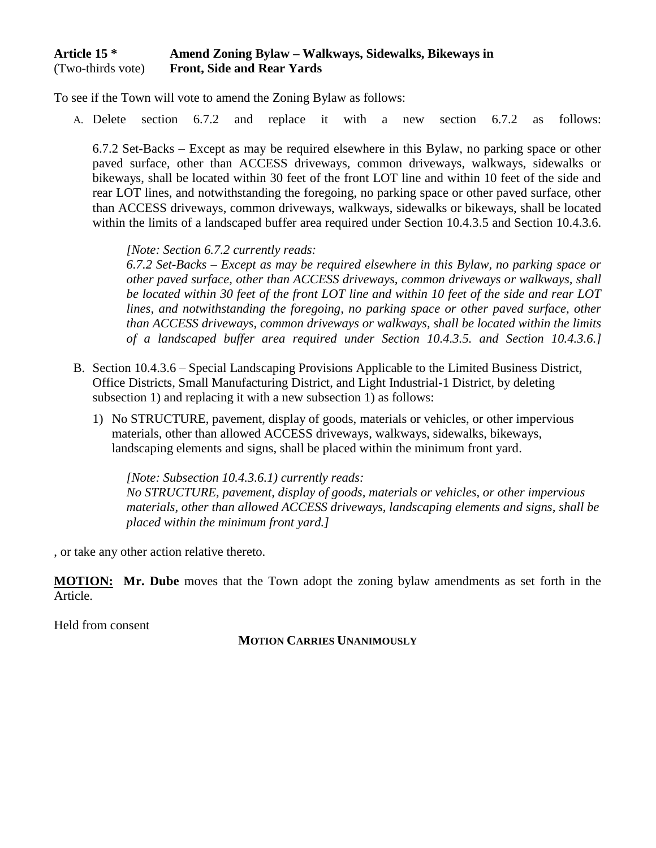To see if the Town will vote to amend the Zoning Bylaw as follows:

A. Delete section 6.7.2 and replace it with a new section 6.7.2 as follows:

6.7.2 Set-Backs – Except as may be required elsewhere in this Bylaw, no parking space or other paved surface, other than ACCESS driveways, common driveways, walkways, sidewalks or bikeways, shall be located within 30 feet of the front LOT line and within 10 feet of the side and rear LOT lines, and notwithstanding the foregoing, no parking space or other paved surface, other than ACCESS driveways, common driveways, walkways, sidewalks or bikeways, shall be located within the limits of a landscaped buffer area required under Section 10.4.3.5 and Section 10.4.3.6.

*[Note: Section 6.7.2 currently reads:*

*6.7.2 Set-Backs – Except as may be required elsewhere in this Bylaw, no parking space or other paved surface, other than ACCESS driveways, common driveways or walkways, shall be located within 30 feet of the front LOT line and within 10 feet of the side and rear LOT*  lines, and notwithstanding the foregoing, no parking space or other paved surface, other *than ACCESS driveways, common driveways or walkways, shall be located within the limits of a landscaped buffer area required under Section 10.4.3.5. and Section 10.4.3.6.]*

- B. Section 10.4.3.6 Special Landscaping Provisions Applicable to the Limited Business District, Office Districts, Small Manufacturing District, and Light Industrial-1 District, by deleting subsection 1) and replacing it with a new subsection 1) as follows:
	- 1) No STRUCTURE, pavement, display of goods, materials or vehicles, or other impervious materials, other than allowed ACCESS driveways, walkways, sidewalks, bikeways, landscaping elements and signs, shall be placed within the minimum front yard.

*[Note: Subsection 10.4.3.6.1) currently reads: No STRUCTURE, pavement, display of goods, materials or vehicles, or other impervious materials, other than allowed ACCESS driveways, landscaping elements and signs, shall be placed within the minimum front yard.]*

, or take any other action relative thereto.

**MOTION: Mr. Dube** moves that the Town adopt the zoning bylaw amendments as set forth in the Article.

Held from consent

#### **MOTION CARRIES UNANIMOUSLY**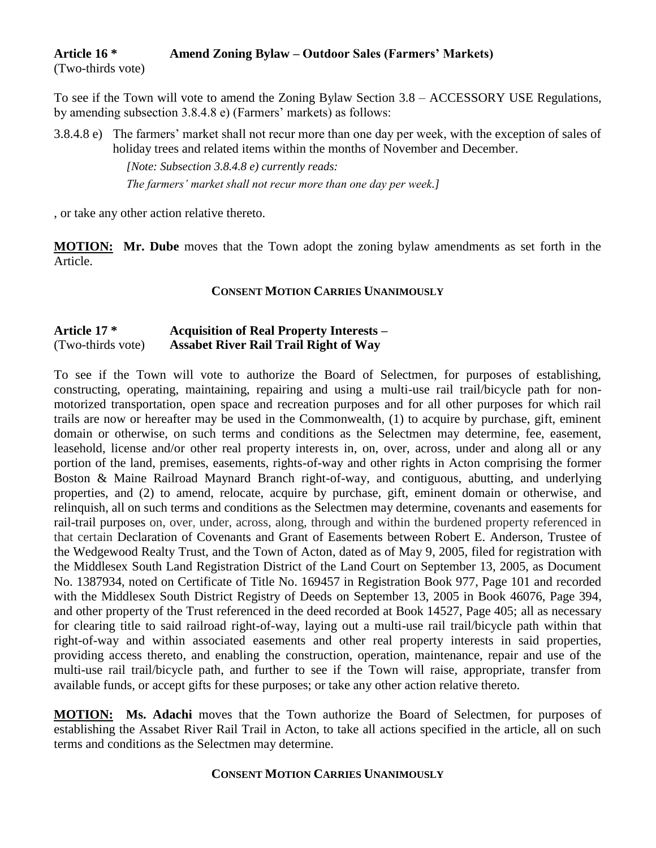## **Article 16 \* Amend Zoning Bylaw – Outdoor Sales (Farmers' Markets)**

(Two-thirds vote)

To see if the Town will vote to amend the Zoning Bylaw Section 3.8 – ACCESSORY USE Regulations, by amending subsection 3.8.4.8 e) (Farmers' markets) as follows:

3.8.4.8 e) The farmers' market shall not recur more than one day per week, with the exception of sales of holiday trees and related items within the months of November and December.

> *[Note: Subsection 3.8.4.8 e) currently reads: The farmers' market shall not recur more than one day per week.]*

, or take any other action relative thereto.

**MOTION: Mr. Dube** moves that the Town adopt the zoning bylaw amendments as set forth in the Article.

## **CONSENT MOTION CARRIES UNANIMOUSLY**

## **Article 17 \* Acquisition of Real Property Interests –** (Two-thirds vote) **Assabet River Rail Trail Right of Way**

To see if the Town will vote to authorize the Board of Selectmen, for purposes of establishing, constructing, operating, maintaining, repairing and using a multi-use rail trail/bicycle path for nonmotorized transportation, open space and recreation purposes and for all other purposes for which rail trails are now or hereafter may be used in the Commonwealth, (1) to acquire by purchase, gift, eminent domain or otherwise, on such terms and conditions as the Selectmen may determine, fee, easement, leasehold, license and/or other real property interests in, on, over, across, under and along all or any portion of the land, premises, easements, rights-of-way and other rights in Acton comprising the former Boston & Maine Railroad Maynard Branch right-of-way, and contiguous, abutting, and underlying properties, and (2) to amend, relocate, acquire by purchase, gift, eminent domain or otherwise, and relinquish, all on such terms and conditions as the Selectmen may determine, covenants and easements for rail-trail purposes on, over, under, across, along, through and within the burdened property referenced in that certain Declaration of Covenants and Grant of Easements between Robert E. Anderson, Trustee of the Wedgewood Realty Trust, and the Town of Acton, dated as of May 9, 2005, filed for registration with the Middlesex South Land Registration District of the Land Court on September 13, 2005, as Document No. 1387934, noted on Certificate of Title No. 169457 in Registration Book 977, Page 101 and recorded with the Middlesex South District Registry of Deeds on September 13, 2005 in Book 46076, Page 394, and other property of the Trust referenced in the deed recorded at Book 14527, Page 405; all as necessary for clearing title to said railroad right-of-way, laying out a multi-use rail trail/bicycle path within that right-of-way and within associated easements and other real property interests in said properties, providing access thereto, and enabling the construction, operation, maintenance, repair and use of the multi-use rail trail/bicycle path, and further to see if the Town will raise, appropriate, transfer from available funds, or accept gifts for these purposes; or take any other action relative thereto.

**MOTION: Ms. Adachi** moves that the Town authorize the Board of Selectmen, for purposes of establishing the Assabet River Rail Trail in Acton, to take all actions specified in the article, all on such terms and conditions as the Selectmen may determine.

## **CONSENT MOTION CARRIES UNANIMOUSLY**